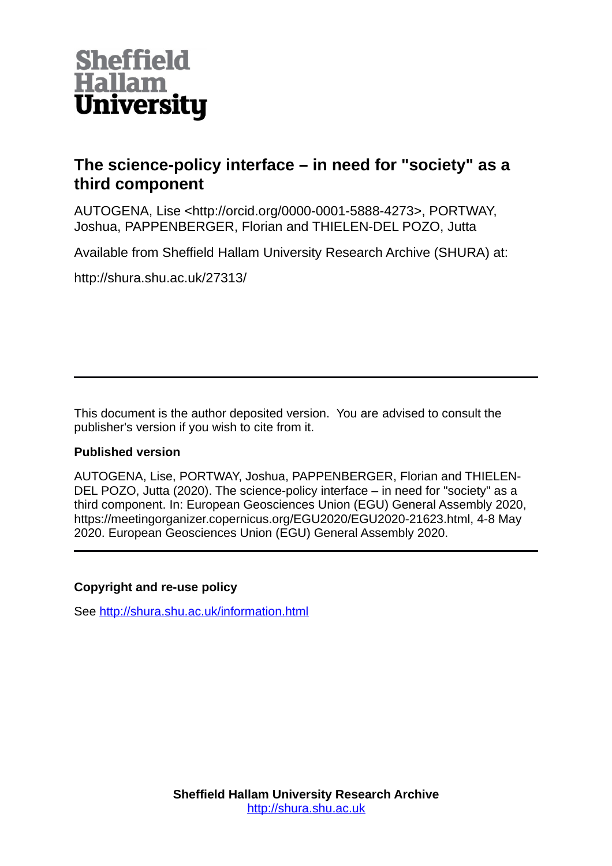

## **The science-policy interface – in need for "society" as a third component**

AUTOGENA, Lise <http://orcid.org/0000-0001-5888-4273>, PORTWAY, Joshua, PAPPENBERGER, Florian and THIELEN-DEL POZO, Jutta

Available from Sheffield Hallam University Research Archive (SHURA) at:

http://shura.shu.ac.uk/27313/

This document is the author deposited version. You are advised to consult the publisher's version if you wish to cite from it.

## **Published version**

AUTOGENA, Lise, PORTWAY, Joshua, PAPPENBERGER, Florian and THIELEN-DEL POZO, Jutta (2020). The science-policy interface – in need for "society" as a third component. In: European Geosciences Union (EGU) General Assembly 2020, https://meetingorganizer.copernicus.org/EGU2020/EGU2020-21623.html, 4-8 May 2020. European Geosciences Union (EGU) General Assembly 2020.

## **Copyright and re-use policy**

See<http://shura.shu.ac.uk/information.html>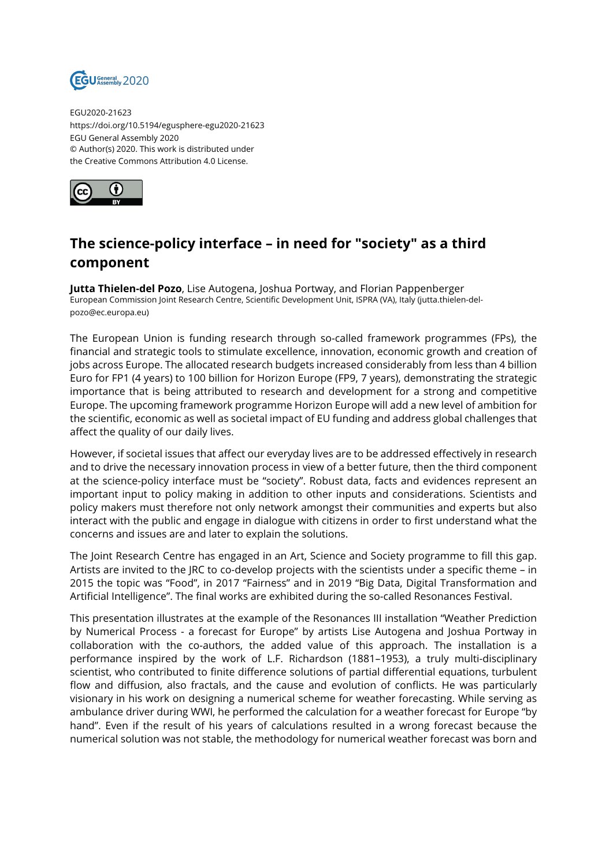

EGU2020-21623 https://doi.org/10.5194/egusphere-egu2020-21623 EGU General Assembly 2020 © Author(s) 2020. This work is distributed under the Creative Commons Attribution 4.0 License.



## **The science-policy interface – in need for "society" as a third component**

**Jutta Thielen-del Pozo**, Lise Autogena, Joshua Portway, and Florian Pappenberger European Commission Joint Research Centre, Scientific Development Unit, ISPRA (VA), Italy (jutta.thielen-delpozo@ec.europa.eu)

The European Union is funding research through so-called framework programmes (FPs), the financial and strategic tools to stimulate excellence, innovation, economic growth and creation of jobs across Europe. The allocated research budgets increased considerably from less than 4 billion Euro for FP1 (4 years) to 100 billion for Horizon Europe (FP9, 7 years), demonstrating the strategic importance that is being attributed to research and development for a strong and competitive Europe. The upcoming framework programme Horizon Europe will add a new level of ambition for the scientific, economic as well as societal impact of EU funding and address global challenges that affect the quality of our daily lives.

However, if societal issues that affect our everyday lives are to be addressed effectively in research and to drive the necessary innovation process in view of a better future, then the third component at the science-policy interface must be "society". Robust data, facts and evidences represent an important input to policy making in addition to other inputs and considerations. Scientists and policy makers must therefore not only network amongst their communities and experts but also interact with the public and engage in dialogue with citizens in order to first understand what the concerns and issues are and later to explain the solutions.

The Joint Research Centre has engaged in an Art, Science and Society programme to fill this gap. Artists are invited to the JRC to co-develop projects with the scientists under a specific theme – in 2015 the topic was "Food", in 2017 "Fairness" and in 2019 "Big Data, Digital Transformation and Artificial Intelligence". The final works are exhibited during the so-called Resonances Festival.

This presentation illustrates at the example of the Resonances III installation "Weather Prediction by Numerical Process - a forecast for Europe" by artists Lise Autogena and Joshua Portway in collaboration with the co-authors, the added value of this approach. The installation is a performance inspired by the work of L.F. Richardson (1881–1953), a truly multi-disciplinary scientist, who contributed to finite difference solutions of partial differential equations, turbulent flow and diffusion, also fractals, and the cause and evolution of conflicts. He was particularly visionary in his work on designing a numerical scheme for weather forecasting. While serving as ambulance driver during WWI, he performed the calculation for a weather forecast for Europe "by hand". Even if the result of his years of calculations resulted in a wrong forecast because the numerical solution was not stable, the methodology for numerical weather forecast was born and